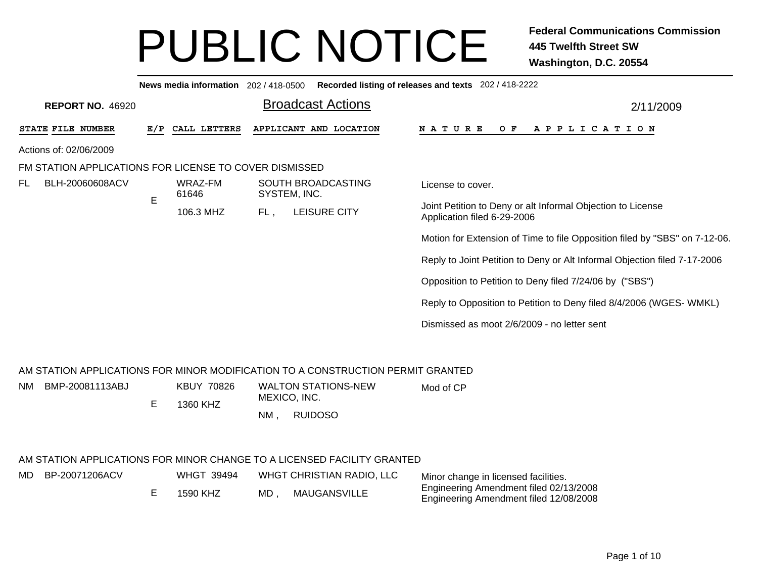|                                                                                 |     |                   |              |                            | News media information 202 / 418-0500 Recorded listing of releases and texts 202 / 418-2222 |
|---------------------------------------------------------------------------------|-----|-------------------|--------------|----------------------------|---------------------------------------------------------------------------------------------|
| <b>REPORT NO. 46920</b>                                                         |     |                   |              | <b>Broadcast Actions</b>   | 2/11/2009                                                                                   |
| STATE FILE NUMBER                                                               | E/P | CALL LETTERS      |              | APPLICANT AND LOCATION     | <b>NATURE</b><br>OF APPLICATION                                                             |
| Actions of: 02/06/2009                                                          |     |                   |              |                            |                                                                                             |
| FM STATION APPLICATIONS FOR LICENSE TO COVER DISMISSED                          |     |                   |              |                            |                                                                                             |
| BLH-20060608ACV<br>FL.                                                          |     | WRAZ-FM<br>61646  | SYSTEM, INC. | SOUTH BROADCASTING         | License to cover.                                                                           |
|                                                                                 | E   | 106.3 MHZ         | FL,          | LEISURE CITY               | Joint Petition to Deny or alt Informal Objection to License<br>Application filed 6-29-2006  |
|                                                                                 |     |                   |              |                            | Motion for Extension of Time to file Opposition filed by "SBS" on 7-12-06.                  |
|                                                                                 |     |                   |              |                            | Reply to Joint Petition to Deny or Alt Informal Objection filed 7-17-2006                   |
|                                                                                 |     |                   |              |                            | Opposition to Petition to Deny filed 7/24/06 by ("SBS")                                     |
|                                                                                 |     |                   |              |                            | Reply to Opposition to Petition to Deny filed 8/4/2006 (WGES- WMKL)                         |
|                                                                                 |     |                   |              |                            | Dismissed as moot 2/6/2009 - no letter sent                                                 |
| AM STATION APPLICATIONS FOR MINOR MODIFICATION TO A CONSTRUCTION PERMIT GRANTED |     |                   |              |                            |                                                                                             |
| BMP-20081113ABJ<br>NM.                                                          |     | <b>KBUY 70826</b> |              | <b>WALTON STATIONS-NEW</b> |                                                                                             |
|                                                                                 | Е   | 1360 KHZ          | MEXICO, INC. |                            | Mod of CP                                                                                   |
|                                                                                 |     |                   | $NM$ ,       | <b>RUIDOSO</b>             |                                                                                             |
| AM STATION APPLICATIONS FOR MINOR CHANGE TO A LICENSED FACILITY GRANTED         |     |                   |              |                            |                                                                                             |
| BP-20071206ACV<br>MD                                                            |     | WHGT 39494        |              | WHGT CHRISTIAN RADIO, LLC  | Minor change in licensed facilities                                                         |

| D BP-20071206ACV | WHGT 39494 |      | WHGT CHRISTIAN RADIO, LLC | Minor change in licensed facilities.   |
|------------------|------------|------|---------------------------|----------------------------------------|
|                  |            |      |                           | Engineering Amendment filed 02/13/2008 |
|                  | 1590 KHZ   | MD . | MAUGANSVILLE              | Engineering Amendment filed 12/08/2008 |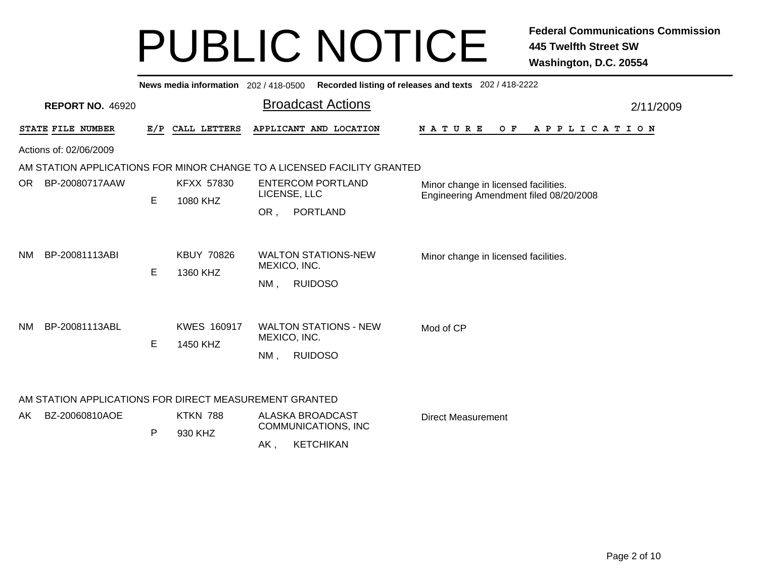|     | Recorded listing of releases and texts 202 / 418-2222<br>News media information 202/418-0500 |     |                    |                                                                         |                                                                                |           |  |  |  |  |  |  |  |  |  |
|-----|----------------------------------------------------------------------------------------------|-----|--------------------|-------------------------------------------------------------------------|--------------------------------------------------------------------------------|-----------|--|--|--|--|--|--|--|--|--|
|     | <b>REPORT NO. 46920</b>                                                                      |     |                    | <b>Broadcast Actions</b>                                                |                                                                                | 2/11/2009 |  |  |  |  |  |  |  |  |  |
|     | STATE FILE NUMBER                                                                            | E/P | CALL LETTERS       | APPLICANT AND LOCATION                                                  | NATURE<br>O F<br>APPLICATION                                                   |           |  |  |  |  |  |  |  |  |  |
|     | Actions of: 02/06/2009                                                                       |     |                    |                                                                         |                                                                                |           |  |  |  |  |  |  |  |  |  |
|     |                                                                                              |     |                    | AM STATION APPLICATIONS FOR MINOR CHANGE TO A LICENSED FACILITY GRANTED |                                                                                |           |  |  |  |  |  |  |  |  |  |
| OR. | BP-20080717AAW                                                                               |     | KFXX 57830         | <b>ENTERCOM PORTLAND</b><br>LICENSE, LLC                                | Minor change in licensed facilities.<br>Engineering Amendment filed 08/20/2008 |           |  |  |  |  |  |  |  |  |  |
|     |                                                                                              | E   | 1080 KHZ           | <b>PORTLAND</b><br>OR,                                                  |                                                                                |           |  |  |  |  |  |  |  |  |  |
|     |                                                                                              |     |                    |                                                                         |                                                                                |           |  |  |  |  |  |  |  |  |  |
| NM. | BP-20081113ABI                                                                               |     | <b>KBUY 70826</b>  | <b>WALTON STATIONS-NEW</b><br>MEXICO, INC.                              | Minor change in licensed facilities.                                           |           |  |  |  |  |  |  |  |  |  |
|     |                                                                                              | E   | 1360 KHZ           | <b>RUIDOSO</b><br>$NM$ ,                                                |                                                                                |           |  |  |  |  |  |  |  |  |  |
|     |                                                                                              |     |                    |                                                                         |                                                                                |           |  |  |  |  |  |  |  |  |  |
| NM. | BP-20081113ABL                                                                               |     | <b>KWES 160917</b> | <b>WALTON STATIONS - NEW</b><br>MEXICO, INC.                            | Mod of CP                                                                      |           |  |  |  |  |  |  |  |  |  |
|     |                                                                                              | E   | 1450 KHZ           |                                                                         |                                                                                |           |  |  |  |  |  |  |  |  |  |
|     |                                                                                              |     |                    | <b>RUIDOSO</b><br>$NM$ ,                                                |                                                                                |           |  |  |  |  |  |  |  |  |  |
|     | AM STATION APPLICATIONS FOR DIRECT MEASUREMENT GRANTED                                       |     |                    |                                                                         |                                                                                |           |  |  |  |  |  |  |  |  |  |
| AK. | BZ-20060810AOE                                                                               |     | <b>KTKN 788</b>    | <b>ALASKA BROADCAST</b>                                                 | <b>Direct Measurement</b>                                                      |           |  |  |  |  |  |  |  |  |  |
|     |                                                                                              | P   | 930 KHZ            | COMMUNICATIONS, INC                                                     |                                                                                |           |  |  |  |  |  |  |  |  |  |
|     |                                                                                              |     |                    | <b>KETCHIKAN</b><br>AK,                                                 |                                                                                |           |  |  |  |  |  |  |  |  |  |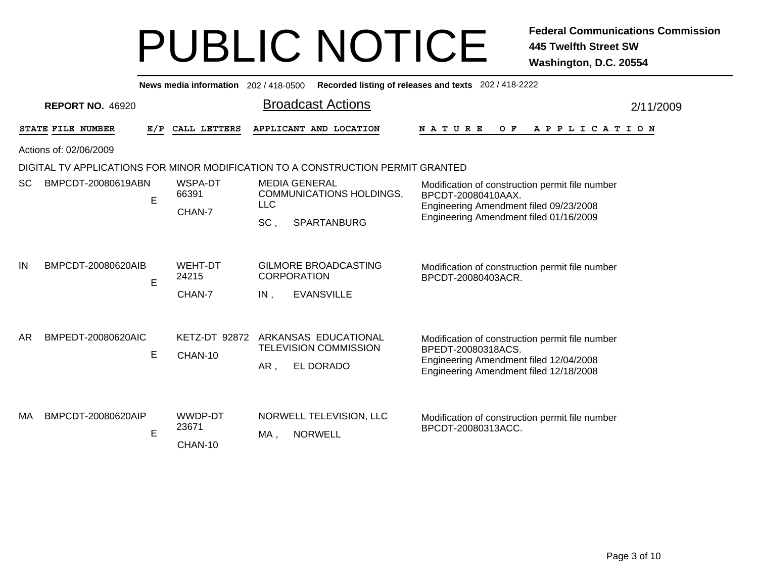|     | News media information 202 / 418-0500<br>Recorded listing of releases and texts 202 / 418-2222 |     |                                   |                                                                                                                                                                                                                                                   |                       |  |  |  |  |  |  |  |  |  |
|-----|------------------------------------------------------------------------------------------------|-----|-----------------------------------|---------------------------------------------------------------------------------------------------------------------------------------------------------------------------------------------------------------------------------------------------|-----------------------|--|--|--|--|--|--|--|--|--|
|     | <b>REPORT NO. 46920</b>                                                                        |     |                                   | <b>Broadcast Actions</b>                                                                                                                                                                                                                          | 2/11/2009             |  |  |  |  |  |  |  |  |  |
|     | STATE FILE NUMBER                                                                              | E/P | CALL LETTERS                      | APPLICANT AND LOCATION<br><b>NATURE</b><br>O F                                                                                                                                                                                                    | A P P L I C A T I O N |  |  |  |  |  |  |  |  |  |
|     | Actions of: 02/06/2009                                                                         |     |                                   |                                                                                                                                                                                                                                                   |                       |  |  |  |  |  |  |  |  |  |
|     |                                                                                                |     |                                   | DIGITAL TV APPLICATIONS FOR MINOR MODIFICATION TO A CONSTRUCTION PERMIT GRANTED                                                                                                                                                                   |                       |  |  |  |  |  |  |  |  |  |
| SC. | BMPCDT-20080619ABN                                                                             | E   | WSPA-DT<br>66391<br>CHAN-7        | <b>MEDIA GENERAL</b><br>Modification of construction permit file number<br>COMMUNICATIONS HOLDINGS,<br>BPCDT-20080410AAX.<br><b>LLC</b><br>Engineering Amendment filed 09/23/2008<br>Engineering Amendment filed 01/16/2009<br>SC,<br>SPARTANBURG |                       |  |  |  |  |  |  |  |  |  |
| IN  | BMPCDT-20080620AIB                                                                             | E   | <b>WEHT-DT</b><br>24215<br>CHAN-7 | <b>GILMORE BROADCASTING</b><br>Modification of construction permit file number<br><b>CORPORATION</b><br>BPCDT-20080403ACR.<br><b>EVANSVILLE</b><br>IN,                                                                                            |                       |  |  |  |  |  |  |  |  |  |
| AR  | BMPEDT-20080620AIC                                                                             | E   | KETZ-DT 92872<br>CHAN-10          | ARKANSAS EDUCATIONAL<br>Modification of construction permit file number<br><b>TELEVISION COMMISSION</b><br>BPEDT-20080318ACS.<br>Engineering Amendment filed 12/04/2008<br>EL DORADO<br>AR,<br>Engineering Amendment filed 12/18/2008             |                       |  |  |  |  |  |  |  |  |  |
| MA  | BMPCDT-20080620AIP                                                                             | E   | WWDP-DT<br>23671<br>CHAN-10       | NORWELL TELEVISION, LLC<br>Modification of construction permit file number<br>BPCDT-20080313ACC.<br><b>NORWELL</b><br>MA,                                                                                                                         |                       |  |  |  |  |  |  |  |  |  |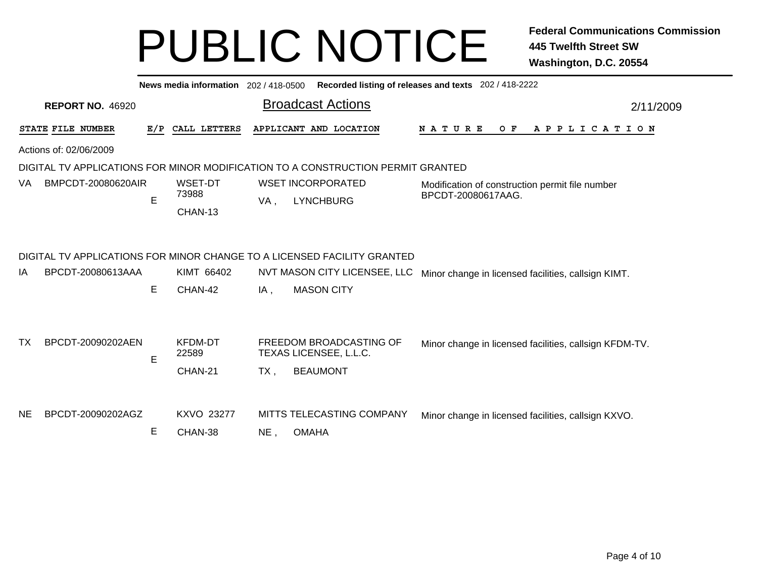|           | News media information 202/418-0500<br>Recorded listing of releases and texts 202 / 418-2222 |     |                                    |      |                                                                                 |                                                                       |  |  |  |  |  |  |  |  |
|-----------|----------------------------------------------------------------------------------------------|-----|------------------------------------|------|---------------------------------------------------------------------------------|-----------------------------------------------------------------------|--|--|--|--|--|--|--|--|
|           | <b>REPORT NO. 46920</b>                                                                      |     |                                    |      | <b>Broadcast Actions</b>                                                        | 2/11/2009                                                             |  |  |  |  |  |  |  |  |
|           | STATE FILE NUMBER                                                                            | E/P | CALL LETTERS                       |      | APPLICANT AND LOCATION                                                          | N A T U R E<br>O F<br>A P P L I C A T I O N                           |  |  |  |  |  |  |  |  |
|           | Actions of: 02/06/2009                                                                       |     |                                    |      |                                                                                 |                                                                       |  |  |  |  |  |  |  |  |
|           |                                                                                              |     |                                    |      | DIGITAL TV APPLICATIONS FOR MINOR MODIFICATION TO A CONSTRUCTION PERMIT GRANTED |                                                                       |  |  |  |  |  |  |  |  |
| VA.       | BMPCDT-20080620AIR                                                                           | E   | WSET-DT<br>73988<br>CHAN-13        | VA,  | <b>WSET INCORPORATED</b><br><b>LYNCHBURG</b>                                    | Modification of construction permit file number<br>BPCDT-20080617AAG. |  |  |  |  |  |  |  |  |
|           |                                                                                              |     |                                    |      | DIGITAL TV APPLICATIONS FOR MINOR CHANGE TO A LICENSED FACILITY GRANTED         |                                                                       |  |  |  |  |  |  |  |  |
| ΙA        | BPCDT-20080613AAA                                                                            |     | KIMT 66402                         |      | NVT MASON CITY LICENSEE, LLC                                                    | Minor change in licensed facilities, callsign KIMT.                   |  |  |  |  |  |  |  |  |
|           |                                                                                              | E   | CHAN-42                            | IA,  | <b>MASON CITY</b>                                                               |                                                                       |  |  |  |  |  |  |  |  |
| тх        | BPCDT-20090202AEN                                                                            | E   | <b>KFDM-DT</b><br>22589<br>CHAN-21 | TX . | FREEDOM BROADCASTING OF<br>TEXAS LICENSEE, L.L.C.<br><b>BEAUMONT</b>            | Minor change in licensed facilities, callsign KFDM-TV.                |  |  |  |  |  |  |  |  |
| <b>NE</b> | BPCDT-20090202AGZ                                                                            | Е   | <b>KXVO 23277</b><br>CHAN-38       | NE.  | MITTS TELECASTING COMPANY<br><b>OMAHA</b>                                       | Minor change in licensed facilities, callsign KXVO.                   |  |  |  |  |  |  |  |  |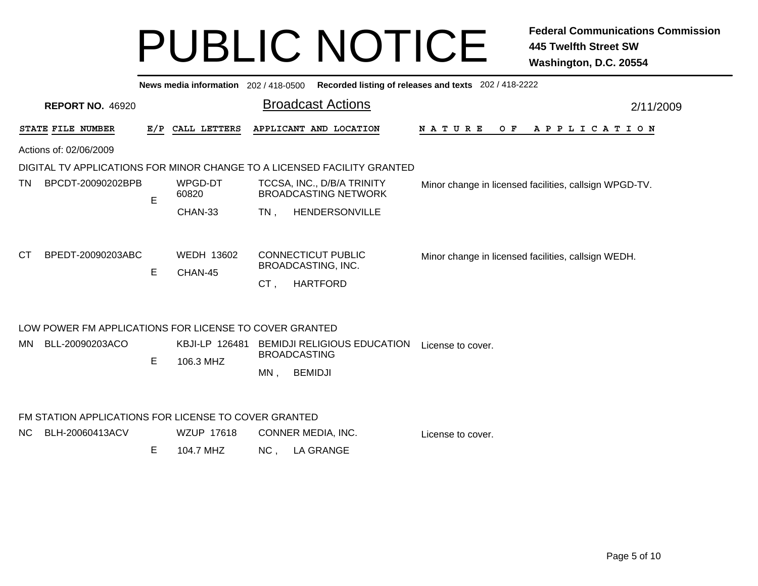|           | News media information 202 / 418-0500<br>Recorded listing of releases and texts 202 / 418-2222 |     |                              |        |                                                                           |                                                        |           |  |  |  |  |  |  |
|-----------|------------------------------------------------------------------------------------------------|-----|------------------------------|--------|---------------------------------------------------------------------------|--------------------------------------------------------|-----------|--|--|--|--|--|--|
|           | <b>REPORT NO. 46920</b>                                                                        |     |                              |        | <b>Broadcast Actions</b>                                                  |                                                        | 2/11/2009 |  |  |  |  |  |  |
|           | STATE FILE NUMBER                                                                              | E/P | CALL LETTERS                 |        | APPLICANT AND LOCATION                                                    | <b>NATURE</b><br>O F<br>A P P L I C A T I O N          |           |  |  |  |  |  |  |
|           | Actions of: 02/06/2009                                                                         |     |                              |        |                                                                           |                                                        |           |  |  |  |  |  |  |
|           |                                                                                                |     |                              |        | DIGITAL TV APPLICATIONS FOR MINOR CHANGE TO A LICENSED FACILITY GRANTED   |                                                        |           |  |  |  |  |  |  |
| TN.       | BPCDT-20090202BPB                                                                              | E   | WPGD-DT<br>60820             |        | TCCSA, INC., D/B/A TRINITY<br><b>BROADCASTING NETWORK</b>                 | Minor change in licensed facilities, callsign WPGD-TV. |           |  |  |  |  |  |  |
|           |                                                                                                |     | CHAN-33                      | $TN$ , | HENDERSONVILLE                                                            |                                                        |           |  |  |  |  |  |  |
| <b>CT</b> | BPEDT-20090203ABC                                                                              | E   | <b>WEDH 13602</b><br>CHAN-45 | CT.    | <b>CONNECTICUT PUBLIC</b><br><b>BROADCASTING, INC.</b><br><b>HARTFORD</b> | Minor change in licensed facilities, callsign WEDH.    |           |  |  |  |  |  |  |
|           | LOW POWER FM APPLICATIONS FOR LICENSE TO COVER GRANTED                                         |     |                              |        |                                                                           |                                                        |           |  |  |  |  |  |  |
| MN        | BLL-20090203ACO                                                                                | E   | KBJI-LP 126481<br>106.3 MHZ  |        | <b>BEMIDJI RELIGIOUS EDUCATION</b><br><b>BROADCASTING</b>                 | License to cover.                                      |           |  |  |  |  |  |  |
|           |                                                                                                |     |                              | $MN$ . | <b>BEMIDJI</b>                                                            |                                                        |           |  |  |  |  |  |  |
|           | FM STATION APPLICATIONS FOR LICENSE TO COVER GRANTED                                           |     |                              |        |                                                                           |                                                        |           |  |  |  |  |  |  |
| NC.       | BLH-20060413ACV                                                                                |     | <b>WZUP 17618</b>            |        | CONNER MEDIA, INC.                                                        | License to cover.                                      |           |  |  |  |  |  |  |
|           |                                                                                                | Е   | 104.7 MHZ                    | NC,    | <b>LA GRANGE</b>                                                          |                                                        |           |  |  |  |  |  |  |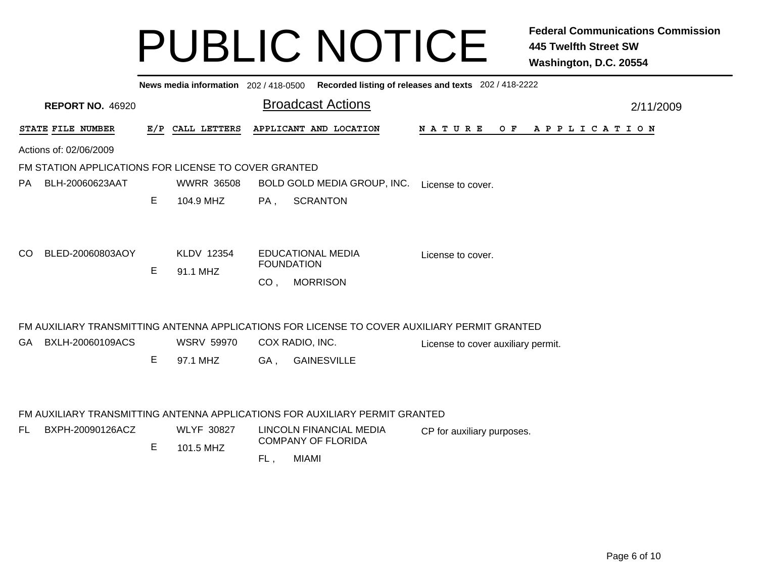|     | News media information 202 / 418-0500 Recorded listing of releases and texts 202 / 418-2222 |   |                   |                   |                                                                                              |                   |  |  |                                    |  |     |  |  |  |  |                       |  |           |
|-----|---------------------------------------------------------------------------------------------|---|-------------------|-------------------|----------------------------------------------------------------------------------------------|-------------------|--|--|------------------------------------|--|-----|--|--|--|--|-----------------------|--|-----------|
|     | <b>REPORT NO. 46920</b>                                                                     |   |                   |                   | <b>Broadcast Actions</b>                                                                     |                   |  |  |                                    |  |     |  |  |  |  |                       |  | 2/11/2009 |
|     | STATE FILE NUMBER                                                                           |   | E/P CALL LETTERS  |                   | APPLICANT AND LOCATION                                                                       | <b>NATURE</b>     |  |  |                                    |  | O F |  |  |  |  | A P P L I C A T I O N |  |           |
|     | Actions of: 02/06/2009                                                                      |   |                   |                   |                                                                                              |                   |  |  |                                    |  |     |  |  |  |  |                       |  |           |
|     | FM STATION APPLICATIONS FOR LICENSE TO COVER GRANTED                                        |   |                   |                   |                                                                                              |                   |  |  |                                    |  |     |  |  |  |  |                       |  |           |
| PA  | BLH-20060623AAT                                                                             |   | <b>WWRR 36508</b> |                   | BOLD GOLD MEDIA GROUP, INC.                                                                  | License to cover. |  |  |                                    |  |     |  |  |  |  |                       |  |           |
|     |                                                                                             | Е | 104.9 MHZ         | PA,               | <b>SCRANTON</b>                                                                              |                   |  |  |                                    |  |     |  |  |  |  |                       |  |           |
| CO. | BLED-20060803AOY                                                                            |   | KLDV 12354        | <b>FOUNDATION</b> | <b>EDUCATIONAL MEDIA</b>                                                                     |                   |  |  | License to cover.                  |  |     |  |  |  |  |                       |  |           |
|     |                                                                                             | Е | 91.1 MHZ          |                   |                                                                                              |                   |  |  |                                    |  |     |  |  |  |  |                       |  |           |
|     |                                                                                             |   |                   | CO <sub>1</sub>   | <b>MORRISON</b>                                                                              |                   |  |  |                                    |  |     |  |  |  |  |                       |  |           |
|     |                                                                                             |   |                   |                   | FM AUXILIARY TRANSMITTING ANTENNA APPLICATIONS FOR LICENSE TO COVER AUXILIARY PERMIT GRANTED |                   |  |  |                                    |  |     |  |  |  |  |                       |  |           |
|     | GA BXLH-20060109ACS                                                                         |   | <b>WSRV 59970</b> | COX RADIO, INC.   |                                                                                              |                   |  |  | License to cover auxiliary permit. |  |     |  |  |  |  |                       |  |           |
|     |                                                                                             | E | 97.1 MHZ          | GA,               | <b>GAINESVILLE</b>                                                                           |                   |  |  |                                    |  |     |  |  |  |  |                       |  |           |
|     |                                                                                             |   |                   |                   | FM AUXILIARY TRANSMITTING ANTENNA APPLICATIONS FOR AUXILIARY PERMIT GRANTED                  |                   |  |  |                                    |  |     |  |  |  |  |                       |  |           |
| FL. | BXPH-20090126ACZ                                                                            |   | <b>WLYF 30827</b> |                   | LINCOLN FINANCIAL MEDIA                                                                      |                   |  |  | CP for auxiliary purposes.         |  |     |  |  |  |  |                       |  |           |
|     |                                                                                             | Е | 101.5 MHZ         |                   | <b>COMPANY OF FLORIDA</b>                                                                    |                   |  |  |                                    |  |     |  |  |  |  |                       |  |           |
|     |                                                                                             |   |                   | FL,               | <b>MIAMI</b>                                                                                 |                   |  |  |                                    |  |     |  |  |  |  |                       |  |           |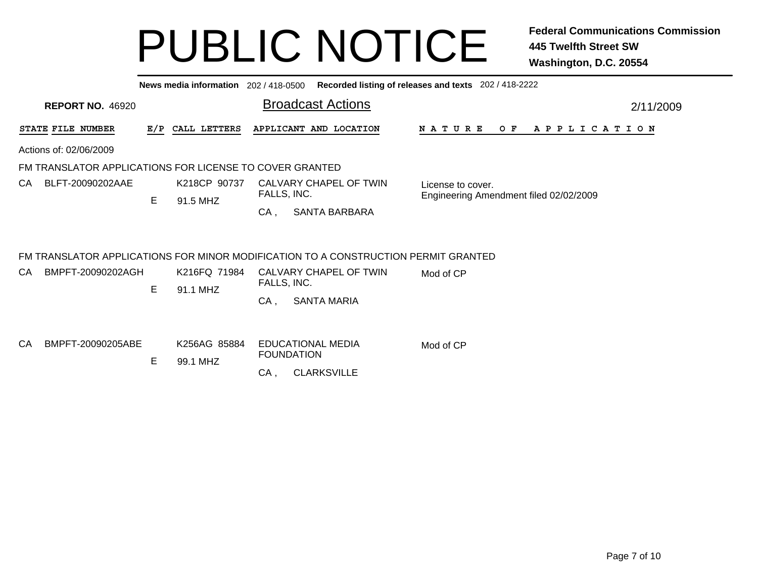|    |                                                         |     |                          |             | News media information 202 / 418-0500 Recorded listing of releases and texts 202 / 418-2222                  |                                        |           |     |  |  |  |                       |  |  |  |  |
|----|---------------------------------------------------------|-----|--------------------------|-------------|--------------------------------------------------------------------------------------------------------------|----------------------------------------|-----------|-----|--|--|--|-----------------------|--|--|--|--|
|    | <b>REPORT NO. 46920</b>                                 |     |                          |             | <b>Broadcast Actions</b>                                                                                     |                                        | 2/11/2009 |     |  |  |  |                       |  |  |  |  |
|    | STATE FILE NUMBER                                       | E/P | CALL LETTERS             |             | APPLICANT AND LOCATION                                                                                       | N A T U R E                            |           | O F |  |  |  | A P P L I C A T I O N |  |  |  |  |
|    | Actions of: 02/06/2009                                  |     |                          |             |                                                                                                              |                                        |           |     |  |  |  |                       |  |  |  |  |
|    | FM TRANSLATOR APPLICATIONS FOR LICENSE TO COVER GRANTED |     |                          |             |                                                                                                              |                                        |           |     |  |  |  |                       |  |  |  |  |
| CA | BLFT-20090202AAE                                        |     | K218CP 90737             | FALLS, INC. | CALVARY CHAPEL OF TWIN                                                                                       | License to cover.                      |           |     |  |  |  |                       |  |  |  |  |
|    |                                                         | E   | 91.5 MHZ                 | CA,         | <b>SANTA BARBARA</b>                                                                                         | Engineering Amendment filed 02/02/2009 |           |     |  |  |  |                       |  |  |  |  |
| CA | BMPFT-20090202AGH                                       |     | K216FQ 71984             |             | FM TRANSLATOR APPLICATIONS FOR MINOR MODIFICATION TO A CONSTRUCTION PERMIT GRANTED<br>CALVARY CHAPEL OF TWIN | Mod of CP                              |           |     |  |  |  |                       |  |  |  |  |
|    |                                                         | E   | 91.1 MHZ                 | FALLS, INC. |                                                                                                              |                                        |           |     |  |  |  |                       |  |  |  |  |
|    |                                                         |     |                          | CA.         | <b>SANTA MARIA</b>                                                                                           |                                        |           |     |  |  |  |                       |  |  |  |  |
| СA | BMPFT-20090205ABE                                       | Е   | K256AG 85884<br>99.1 MHZ |             | EDUCATIONAL MEDIA<br><b>FOUNDATION</b>                                                                       | Mod of CP                              |           |     |  |  |  |                       |  |  |  |  |
|    |                                                         |     |                          | CA.         | <b>CLARKSVILLE</b>                                                                                           |                                        |           |     |  |  |  |                       |  |  |  |  |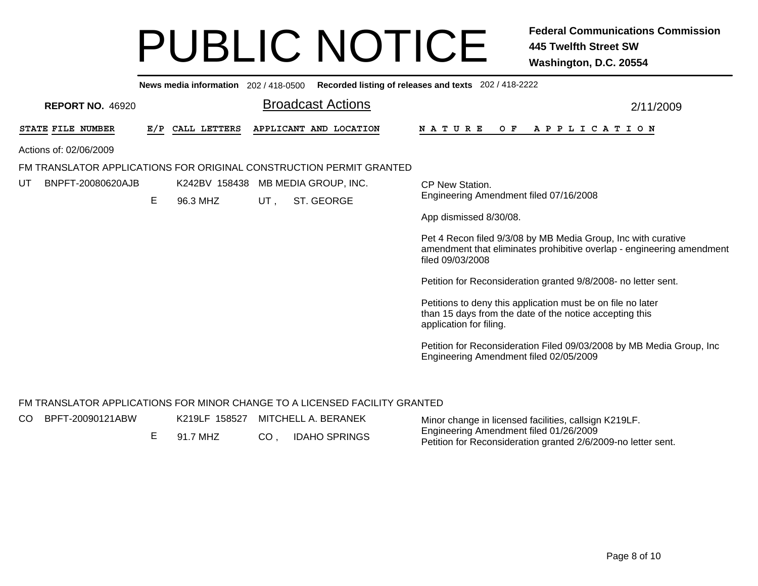| Recorded listing of releases and texts 202 / 418-2222<br>News media information 202 / 418-0500 |     |               |     |                          |                                                                                                                                                            |  |  |  |  |  |  |  |
|------------------------------------------------------------------------------------------------|-----|---------------|-----|--------------------------|------------------------------------------------------------------------------------------------------------------------------------------------------------|--|--|--|--|--|--|--|
| <b>REPORT NO. 46920</b>                                                                        |     |               |     | <b>Broadcast Actions</b> | 2/11/2009                                                                                                                                                  |  |  |  |  |  |  |  |
| STATE FILE NUMBER                                                                              | E/P | CALL LETTERS  |     | APPLICANT AND LOCATION   | O F<br>N A T U R E<br>A P P L I C A T I O N                                                                                                                |  |  |  |  |  |  |  |
| Actions of: 02/06/2009                                                                         |     |               |     |                          |                                                                                                                                                            |  |  |  |  |  |  |  |
| FM TRANSLATOR APPLICATIONS FOR ORIGINAL CONSTRUCTION PERMIT GRANTED                            |     |               |     |                          |                                                                                                                                                            |  |  |  |  |  |  |  |
| BNPFT-20080620AJB<br>UТ                                                                        |     | K242BV 158438 |     | MB MEDIA GROUP, INC.     | CP New Station.                                                                                                                                            |  |  |  |  |  |  |  |
|                                                                                                | Е   | 96.3 MHZ      | UT. | ST. GEORGE               | Engineering Amendment filed 07/16/2008                                                                                                                     |  |  |  |  |  |  |  |
|                                                                                                |     |               |     |                          | App dismissed 8/30/08.                                                                                                                                     |  |  |  |  |  |  |  |
|                                                                                                |     |               |     |                          | Pet 4 Recon filed 9/3/08 by MB Media Group, Inc with curative<br>amendment that eliminates prohibitive overlap - engineering amendment<br>filed 09/03/2008 |  |  |  |  |  |  |  |
|                                                                                                |     |               |     |                          | Petition for Reconsideration granted 9/8/2008- no letter sent.                                                                                             |  |  |  |  |  |  |  |
|                                                                                                |     |               |     |                          | Petitions to deny this application must be on file no later<br>than 15 days from the date of the notice accepting this<br>application for filing.          |  |  |  |  |  |  |  |
|                                                                                                |     |               |     |                          | Petition for Reconsideration Filed 09/03/2008 by MB Media Group, Inc.<br>Engineering Amendment filed 02/05/2009                                            |  |  |  |  |  |  |  |

#### FM TRANSLATOR APPLICATIONS FOR MINOR CHANGE TO A LICENSED FACILITY GRANTED

CO

| O BPFT-20090121ABW | K219LF 158527 MITCHELL A. BERANEK |     |                      | Minor change in licensed facilities, callsign K219LF.                                                   |
|--------------------|-----------------------------------|-----|----------------------|---------------------------------------------------------------------------------------------------------|
|                    | 91.7 MHZ                          | CO. | <b>IDAHO SPRINGS</b> | Engineering Amendment filed 01/26/2009<br>Petition for Reconsideration granted 2/6/2009-no letter sent. |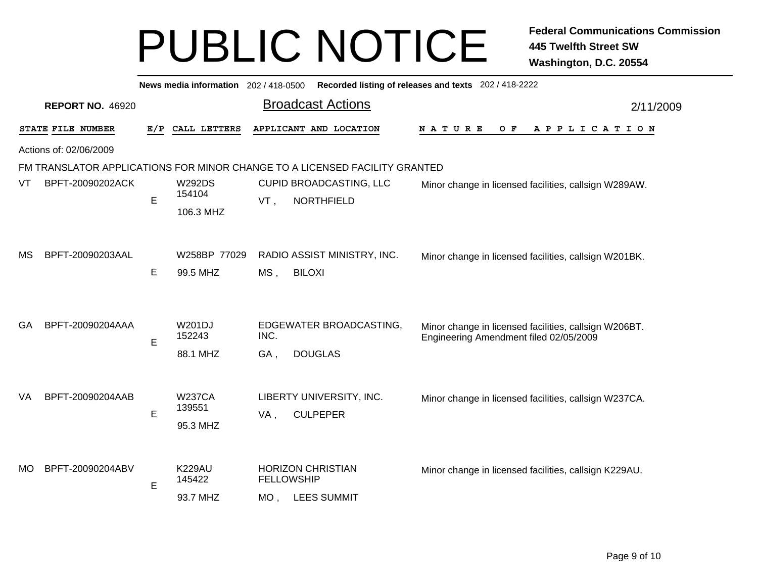|           | Recorded listing of releases and texts 202 / 418-2222<br>News media information 202 / 418-0500 |     |                         |        |                                                                            |                                                                                                 |           |  |  |  |  |  |  |
|-----------|------------------------------------------------------------------------------------------------|-----|-------------------------|--------|----------------------------------------------------------------------------|-------------------------------------------------------------------------------------------------|-----------|--|--|--|--|--|--|
|           | <b>REPORT NO. 46920</b>                                                                        |     |                         |        | <b>Broadcast Actions</b>                                                   |                                                                                                 | 2/11/2009 |  |  |  |  |  |  |
|           | STATE FILE NUMBER                                                                              | E/P | CALL LETTERS            |        | APPLICANT AND LOCATION                                                     | <b>NATURE</b><br>O F<br>A P P L I C A T I O N                                                   |           |  |  |  |  |  |  |
|           | Actions of: 02/06/2009                                                                         |     |                         |        |                                                                            |                                                                                                 |           |  |  |  |  |  |  |
|           |                                                                                                |     |                         |        | FM TRANSLATOR APPLICATIONS FOR MINOR CHANGE TO A LICENSED FACILITY GRANTED |                                                                                                 |           |  |  |  |  |  |  |
| VT        | BPFT-20090202ACK                                                                               | E   | <b>W292DS</b><br>154104 | VT,    | CUPID BROADCASTING, LLC<br><b>NORTHFIELD</b>                               | Minor change in licensed facilities, callsign W289AW.                                           |           |  |  |  |  |  |  |
|           |                                                                                                |     | 106.3 MHZ               |        |                                                                            |                                                                                                 |           |  |  |  |  |  |  |
|           |                                                                                                |     |                         |        |                                                                            |                                                                                                 |           |  |  |  |  |  |  |
| MS        | BPFT-20090203AAL                                                                               |     | W258BP 77029            |        | RADIO ASSIST MINISTRY, INC.                                                | Minor change in licensed facilities, callsign W201BK.                                           |           |  |  |  |  |  |  |
|           |                                                                                                | E   | 99.5 MHZ                | $MS$ , | <b>BILOXI</b>                                                              |                                                                                                 |           |  |  |  |  |  |  |
|           |                                                                                                |     |                         |        |                                                                            |                                                                                                 |           |  |  |  |  |  |  |
| GA        | BPFT-20090204AAA                                                                               | E   | W201DJ<br>152243        | INC.   | EDGEWATER BROADCASTING,                                                    | Minor change in licensed facilities, callsign W206BT.<br>Engineering Amendment filed 02/05/2009 |           |  |  |  |  |  |  |
|           |                                                                                                |     | 88.1 MHZ                | GA,    | <b>DOUGLAS</b>                                                             |                                                                                                 |           |  |  |  |  |  |  |
|           |                                                                                                |     |                         |        |                                                                            |                                                                                                 |           |  |  |  |  |  |  |
| VA        | BPFT-20090204AAB                                                                               |     | <b>W237CA</b>           |        | LIBERTY UNIVERSITY, INC.                                                   | Minor change in licensed facilities, callsign W237CA.                                           |           |  |  |  |  |  |  |
|           |                                                                                                | E   | 139551<br>95.3 MHZ      | VA,    | <b>CULPEPER</b>                                                            |                                                                                                 |           |  |  |  |  |  |  |
|           |                                                                                                |     |                         |        |                                                                            |                                                                                                 |           |  |  |  |  |  |  |
|           |                                                                                                |     |                         |        |                                                                            |                                                                                                 |           |  |  |  |  |  |  |
| <b>MO</b> | BPFT-20090204ABV                                                                               | E   | <b>K229AU</b><br>145422 |        | <b>HORIZON CHRISTIAN</b><br><b>FELLOWSHIP</b>                              | Minor change in licensed facilities, callsign K229AU.                                           |           |  |  |  |  |  |  |
|           |                                                                                                |     | 93.7 MHZ                | $MO$ , | <b>LEES SUMMIT</b>                                                         |                                                                                                 |           |  |  |  |  |  |  |